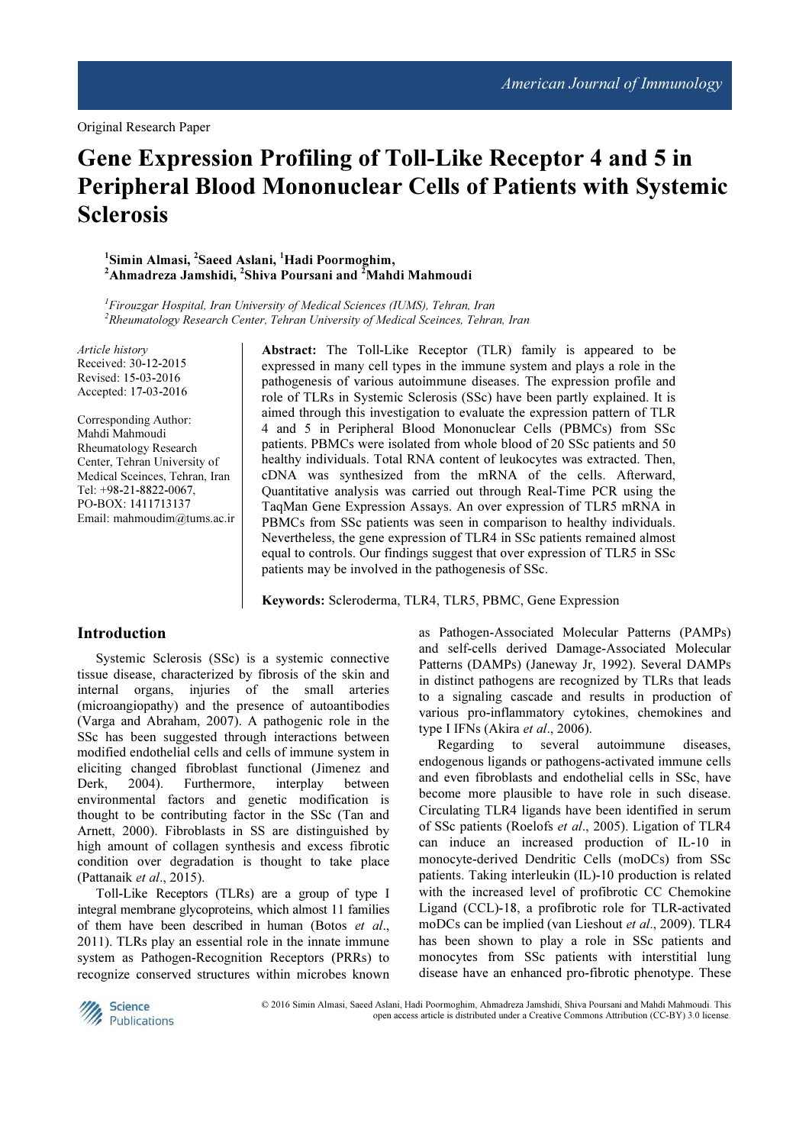Original Research Paper

# Gene Expression Profiling of Toll-Like Receptor 4 and 5 in Peripheral Blood Mononuclear Cells of Patients with Systemic **Sclerosis**

<sup>1</sup>Simin Almasi, <sup>2</sup>Saeed Aslani, <sup>1</sup>Hadi Poormoghim,  $^2$ Ahmadreza Jamshidi,  $^2$ Shiva Poursani and  $^2$ Mahdi Mahmoudi

 ${}^{1}$ Firouzgar Hospital, Iran University of Medical Sciences (IUMS), Tehran, Iran  $2R$ heumatology Research Center, Tehran University of Medical Sceinces, Tehran, Iran

Article history Received: 30-12-2015 Revised: 15-03-2016 Accepted: 17-03-2016

Corresponding Author: Mahdi Mahmoudi Rheumatology Research Center, Tehran University of Medical Sceinces, Tehran, Iran Tel: +98-21-8822-0067, PO-BOX: 1411713137 Email: mahmoudim@tums.ac.ir Abstract: The Toll-Like Receptor (TLR) family is appeared to be expressed in many cell types in the immune system and plays a role in the pathogenesis of various autoimmune diseases. The expression profile and role of TLRs in Systemic Sclerosis (SSc) have been partly explained. It is aimed through this investigation to evaluate the expression pattern of TLR 4 and 5 in Peripheral Blood Mononuclear Cells (PBMCs) from SSc patients. PBMCs were isolated from whole blood of 20 SSc patients and 50 healthy individuals. Total RNA content of leukocytes was extracted. Then, cDNA was synthesized from the mRNA of the cells. Afterward, Quantitative analysis was carried out through Real-Time PCR using the TaqMan Gene Expression Assays. An over expression of TLR5 mRNA in PBMCs from SSc patients was seen in comparison to healthy individuals. Nevertheless, the gene expression of TLR4 in SSc patients remained almost equal to controls. Our findings suggest that over expression of TLR5 in SSc patients may be involved in the pathogenesis of SSc.

Keywords: Scleroderma, TLR4, TLR5, PBMC, Gene Expression

# Introduction

Systemic Sclerosis (SSc) is a systemic connective tissue disease, characterized by fibrosis of the skin and internal organs, injuries of the small arteries (microangiopathy) and the presence of autoantibodies (Varga and Abraham, 2007). A pathogenic role in the SSc has been suggested through interactions between modified endothelial cells and cells of immune system in eliciting changed fibroblast functional (Jimenez and Derk, 2004). Furthermore, interplay between Derk, 2004). Furthermore, interplay between environmental factors and genetic modification is thought to be contributing factor in the SSc (Tan and Arnett, 2000). Fibroblasts in SS are distinguished by high amount of collagen synthesis and excess fibrotic condition over degradation is thought to take place (Pattanaik et al., 2015).

Toll-Like Receptors (TLRs) are a group of type I integral membrane glycoproteins, which almost 11 families of them have been described in human (Botos et al., 2011). TLRs play an essential role in the innate immune system as Pathogen-Recognition Receptors (PRRs) to recognize conserved structures within microbes known as Pathogen-Associated Molecular Patterns (PAMPs) and self-cells derived Damage-Associated Molecular Patterns (DAMPs) (Janeway Jr, 1992). Several DAMPs in distinct pathogens are recognized by TLRs that leads to a signaling cascade and results in production of various pro-inflammatory cytokines, chemokines and type I IFNs (Akira et al., 2006).

Regarding to several autoimmune diseases, endogenous ligands or pathogens-activated immune cells and even fibroblasts and endothelial cells in SSc, have become more plausible to have role in such disease. Circulating TLR4 ligands have been identified in serum of SSc patients (Roelofs et al., 2005). Ligation of TLR4 can induce an increased production of IL-10 in monocyte-derived Dendritic Cells (moDCs) from SSc patients. Taking interleukin (IL)-10 production is related with the increased level of profibrotic CC Chemokine Ligand (CCL)-18, a profibrotic role for TLR-activated moDCs can be implied (van Lieshout et al., 2009). TLR4 has been shown to play a role in SSc patients and monocytes from SSc patients with interstitial lung disease have an enhanced pro-fibrotic phenotype. These



© 2016 Simin Almasi, Saeed Aslani, Hadi Poormoghim, Ahmadreza Jamshidi, Shiva Poursani and Mahdi Mahmoudi. This open access article is distributed under a Creative Commons Attribution (CC-BY) 3.0 license.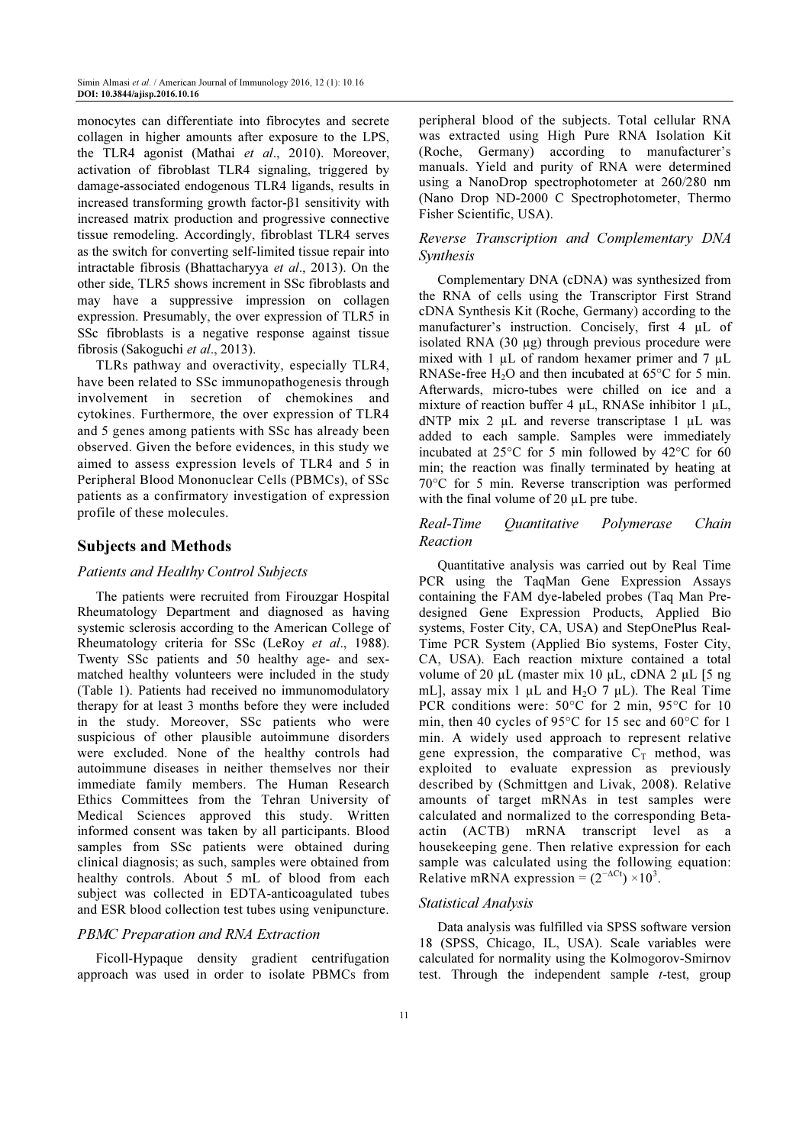monocytes can differentiate into fibrocytes and secrete collagen in higher amounts after exposure to the LPS, the TLR4 agonist (Mathai et al., 2010). Moreover, activation of fibroblast TLR4 signaling, triggered by damage-associated endogenous TLR4 ligands, results in increased transforming growth factor-β1 sensitivity with increased matrix production and progressive connective tissue remodeling. Accordingly, fibroblast TLR4 serves as the switch for converting self-limited tissue repair into intractable fibrosis (Bhattacharyya et al., 2013). On the other side, TLR5 shows increment in SSc fibroblasts and may have a suppressive impression on collagen expression. Presumably, the over expression of TLR5 in SSc fibroblasts is a negative response against tissue fibrosis (Sakoguchi et al., 2013).

TLRs pathway and overactivity, especially TLR4, have been related to SSc immunopathogenesis through involvement in secretion of chemokines and cytokines. Furthermore, the over expression of TLR4 and 5 genes among patients with SSc has already been observed. Given the before evidences, in this study we aimed to assess expression levels of TLR4 and 5 in Peripheral Blood Mononuclear Cells (PBMCs), of SSc patients as a confirmatory investigation of expression profile of these molecules.

# Subjects and Methods

#### Patients and Healthy Control Subjects

The patients were recruited from Firouzgar Hospital Rheumatology Department and diagnosed as having systemic sclerosis according to the American College of Rheumatology criteria for SSc (LeRoy et al., 1988). Twenty SSc patients and 50 healthy age- and sexmatched healthy volunteers were included in the study (Table 1). Patients had received no immunomodulatory therapy for at least 3 months before they were included in the study. Moreover, SSc patients who were suspicious of other plausible autoimmune disorders were excluded. None of the healthy controls had autoimmune diseases in neither themselves nor their immediate family members. The Human Research Ethics Committees from the Tehran University of Medical Sciences approved this study. Written informed consent was taken by all participants. Blood samples from SSc patients were obtained during clinical diagnosis; as such, samples were obtained from healthy controls. About 5 mL of blood from each subject was collected in EDTA-anticoagulated tubes and ESR blood collection test tubes using venipuncture.

## PBMC Preparation and RNA Extraction

Ficoll-Hypaque density gradient centrifugation approach was used in order to isolate PBMCs from

peripheral blood of the subjects. Total cellular RNA was extracted using High Pure RNA Isolation Kit (Roche, Germany) according to manufacturer's manuals. Yield and purity of RNA were determined using a NanoDrop spectrophotometer at 260/280 nm (Nano Drop ND-2000 C Spectrophotometer, Thermo Fisher Scientific, USA).

## Reverse Transcription and Complementary DNA Synthesis

Complementary DNA (cDNA) was synthesized from the RNA of cells using the Transcriptor First Strand cDNA Synthesis Kit (Roche, Germany) according to the manufacturer's instruction. Concisely, first 4 µL of isolated RNA  $(30 \mu g)$  through previous procedure were mixed with 1  $\mu$ L of random hexamer primer and 7  $\mu$ L RNASe-free H<sub>2</sub>O and then incubated at  $65^{\circ}$ C for 5 min. Afterwards, micro-tubes were chilled on ice and a mixture of reaction buffer 4 µL, RNASe inhibitor 1 µL, dNTP mix 2  $\mu$ L and reverse transcriptase 1  $\mu$ L was added to each sample. Samples were immediately incubated at 25°C for 5 min followed by 42°C for 60 min; the reaction was finally terminated by heating at 70°C for 5 min. Reverse transcription was performed with the final volume of 20  $\mu$ L pre tube.

#### Real-Time Quantitative Polymerase Chain Reaction

Quantitative analysis was carried out by Real Time PCR using the TaqMan Gene Expression Assays containing the FAM dye-labeled probes (Taq Man Predesigned Gene Expression Products, Applied Bio systems, Foster City, CA, USA) and StepOnePlus Real-Time PCR System (Applied Bio systems, Foster City, CA, USA). Each reaction mixture contained a total volume of 20 µL (master mix 10 µL, cDNA 2 µL [5 ng mL], assay mix 1  $\mu$ L and H<sub>2</sub>O 7  $\mu$ L). The Real Time PCR conditions were: 50°C for 2 min, 95°C for 10 min, then 40 cycles of 95°C for 15 sec and 60°C for 1 min. A widely used approach to represent relative gene expression, the comparative  $C_T$  method, was exploited to evaluate expression as previously described by (Schmittgen and Livak, 2008). Relative amounts of target mRNAs in test samples were calculated and normalized to the corresponding Betaactin (ACTB) mRNA transcript level as a housekeeping gene. Then relative expression for each sample was calculated using the following equation: Relative mRNA expression =  $(2^{-\Delta Ct}) \times 10^3$ .

#### Statistical Analysis

Data analysis was fulfilled via SPSS software version 18 (SPSS, Chicago, IL, USA). Scale variables were calculated for normality using the Kolmogorov-Smirnov test. Through the independent sample  $t$ -test, group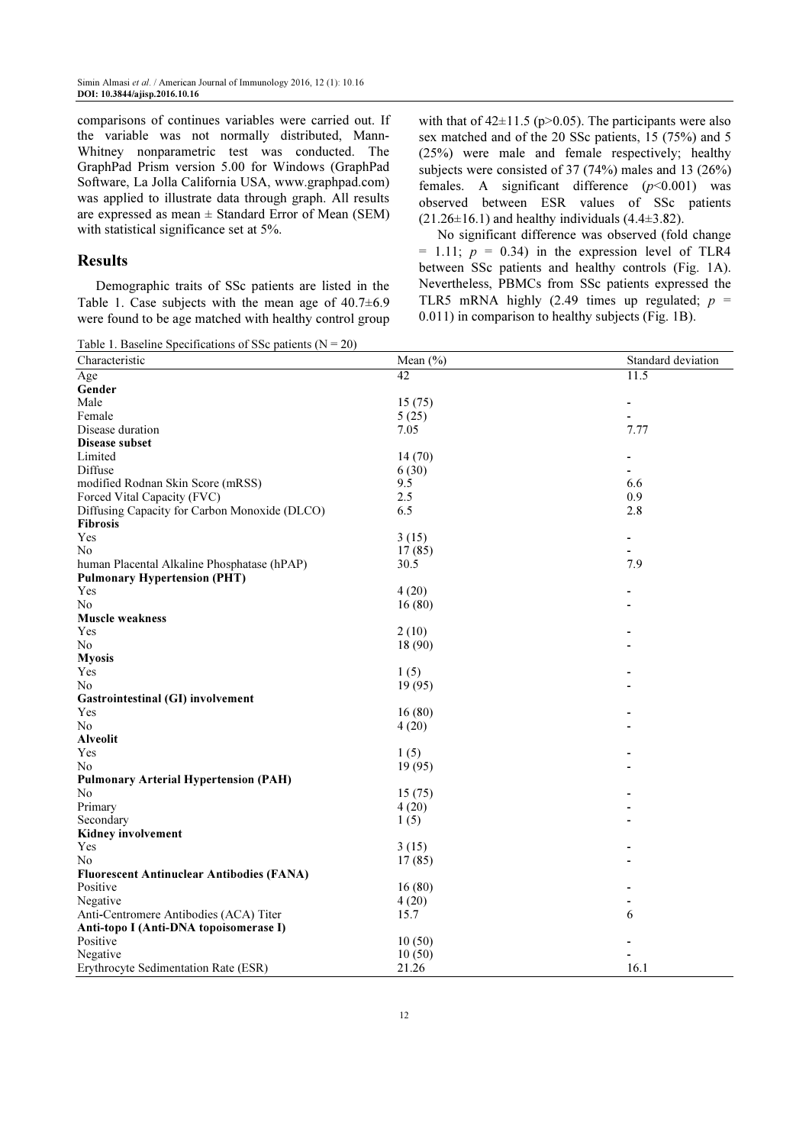comparisons of continues variables were carried out. If the variable was not normally distributed, Mann-Whitney nonparametric test was conducted. The GraphPad Prism version 5.00 for Windows (GraphPad Software, La Jolla California USA, www.graphpad.com) was applied to illustrate data through graph. All results are expressed as mean  $\pm$  Standard Error of Mean (SEM) with statistical significance set at 5%.

# Results

Demographic traits of SSc patients are listed in the Table 1. Case subjects with the mean age of  $40.7\pm6.9$ were found to be age matched with healthy control group with that of  $42\pm11.5$  (p $>0.05$ ). The participants were also sex matched and of the 20 SSc patients, 15 (75%) and 5 (25%) were male and female respectively; healthy subjects were consisted of 37 (74%) males and 13 (26%) females. A significant difference  $(p<0.001)$  was observed between ESR values of SSc patients  $(21.26 \pm 16.1)$  and healthy individuals  $(4.4 \pm 3.82)$ .

No significant difference was observed (fold change  $= 1.11$ ;  $p = 0.34$ ) in the expression level of TLR4 between SSc patients and healthy controls (Fig. 1A). Nevertheless, PBMCs from SSc patients expressed the TLR5 mRNA highly (2.49 times up regulated;  $p =$ 0.011) in comparison to healthy subjects (Fig. 1B).

Table 1. Baseline Specifications of SSc patients  $(N = 20)$ 

| Characteristic                                   | Mean $(\% )$ | Standard deviation       |
|--------------------------------------------------|--------------|--------------------------|
| Age                                              | 42           | 11.5                     |
| Gender                                           |              |                          |
| Male                                             | 15(75)       | $\overline{\phantom{a}}$ |
| Female                                           | 5(25)        |                          |
| Disease duration                                 | 7.05         | 7.77                     |
| Disease subset                                   |              |                          |
| Limited                                          | 14(70)       |                          |
| Diffuse                                          | 6(30)        |                          |
| modified Rodnan Skin Score (mRSS)                | 9.5          | 6.6                      |
| Forced Vital Capacity (FVC)                      | 2.5          | 0.9                      |
| Diffusing Capacity for Carbon Monoxide (DLCO)    | 6.5          | 2.8                      |
| Fibrosis                                         |              |                          |
| Yes                                              | 3(15)        | $\overline{\phantom{a}}$ |
| N <sub>0</sub>                                   | 17(85)       |                          |
| human Placental Alkaline Phosphatase (hPAP)      | 30.5         | 7.9                      |
| <b>Pulmonary Hypertension (PHT)</b>              |              |                          |
| Yes                                              | 4(20)        |                          |
| No.                                              | 16(80)       |                          |
| <b>Muscle weakness</b>                           |              |                          |
| Yes                                              | 2(10)        |                          |
| No                                               | 18 (90)      |                          |
| <b>Myosis</b>                                    |              |                          |
| Yes                                              | 1(5)         |                          |
| No                                               | 19(95)       |                          |
| Gastrointestinal (GI) involvement                |              |                          |
| Yes                                              | 16(80)       |                          |
| N <sub>0</sub>                                   | 4(20)        |                          |
| <b>Alveolit</b>                                  |              |                          |
| Yes                                              | 1(5)         |                          |
| N <sub>0</sub>                                   | 19(95)       |                          |
| <b>Pulmonary Arterial Hypertension (PAH)</b>     |              |                          |
| N <sub>0</sub>                                   | 15(75)       |                          |
| Primary                                          | 4(20)        |                          |
| Secondary                                        | 1(5)         |                          |
| Kidney involvement                               |              |                          |
| Yes                                              | 3(15)        |                          |
| No                                               | 17(85)       |                          |
| <b>Fluorescent Antinuclear Antibodies (FANA)</b> |              |                          |
| Positive                                         | 16(80)       |                          |
| Negative                                         | 4(20)        |                          |
| Anti-Centromere Antibodies (ACA) Titer           | 15.7         | 6                        |
| Anti-topo I (Anti-DNA topoisomerase I)           |              |                          |
| Positive                                         | 10(50)       |                          |
| Negative                                         | 10(50)       |                          |
| Erythrocyte Sedimentation Rate (ESR)             | 21.26        | 16.1                     |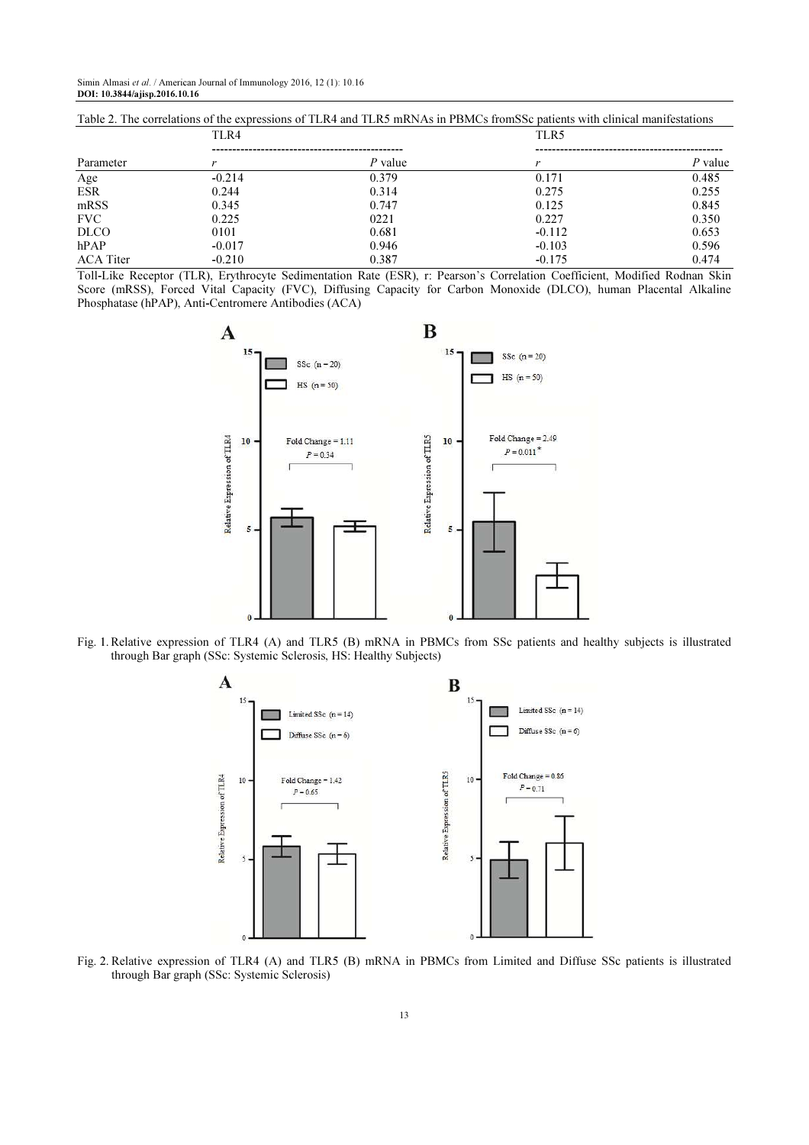Simin Almasi et al. / American Journal of Immunology 2016, 12 (1): 10.16 DOI: 10.3844/ajisp.2016.10.16

| TAULE 2. THE CULTURINUIS OF THE EXPLESSIONS OF TERM AND TERM INFIDENCES IN FISHIOS HOMES C DATEINS WHILE INHIGHT INTIHESTATIONS |          |         |          |         |  |  |
|---------------------------------------------------------------------------------------------------------------------------------|----------|---------|----------|---------|--|--|
|                                                                                                                                 | TLR4     |         | TLR5     |         |  |  |
| Parameter                                                                                                                       |          | P value |          | P value |  |  |
| Age                                                                                                                             | $-0.214$ | 0.379   | 0.171    | 0.485   |  |  |
| <b>ESR</b>                                                                                                                      | 0.244    | 0.314   | 0.275    | 0.255   |  |  |
| mRSS                                                                                                                            | 0.345    | 0.747   | 0.125    | 0.845   |  |  |
| <b>FVC</b>                                                                                                                      | 0.225    | 0221    | 0.227    | 0.350   |  |  |
| <b>DLCO</b>                                                                                                                     | 0101     | 0.681   | $-0.112$ | 0.653   |  |  |
| hPAP                                                                                                                            | $-0.017$ | 0.946   | $-0.103$ | 0.596   |  |  |
| <b>ACA</b> Titer                                                                                                                | $-0.210$ | 0.387   | $-0.175$ | 0.474   |  |  |

 $T_{\rm eff}$   $T_{\rm eff}$  are correlations of the expressions of TLR4 and TLR5 mRNAs in PBMCs from SS<sub>c</sub> patients with clinical manifestations

Toll-Like Receptor (TLR), Erythrocyte Sedimentation Rate (ESR), r: Pearson's Correlation Coefficient, Modified Rodnan Skin Score (mRSS), Forced Vital Capacity (FVC), Diffusing Capacity for Carbon Monoxide (DLCO), human Placental Alkaline Phosphatase (hPAP), Anti-Centromere Antibodies (ACA)



Fig. 1. Relative expression of TLR4 (A) and TLR5 (B) mRNA in PBMCs from SSc patients and healthy subjects is illustrated through Bar graph (SSc: Systemic Sclerosis, HS: Healthy Subjects)



Fig. 2. Relative expression of TLR4 (A) and TLR5 (B) mRNA in PBMCs from Limited and Diffuse SSc patients is illustrated through Bar graph (SSc: Systemic Sclerosis)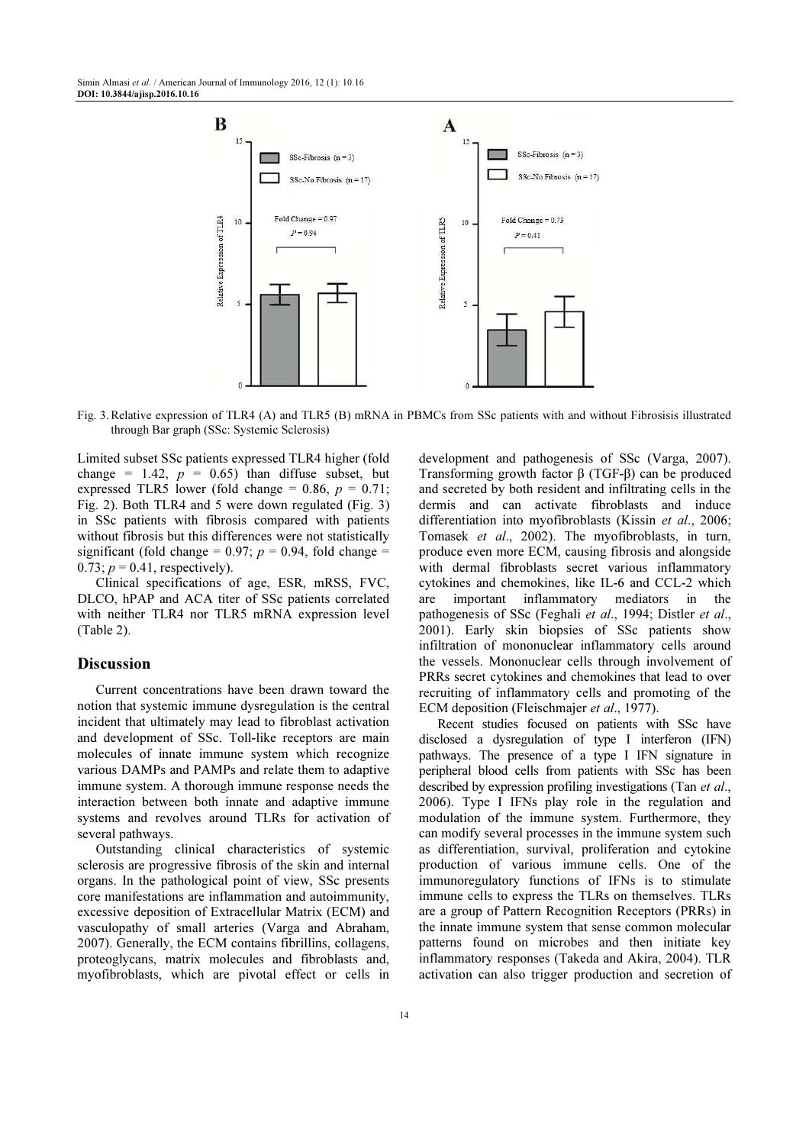

Fig. 3. Relative expression of TLR4 (A) and TLR5 (B) mRNA in PBMCs from SSc patients with and without Fibrosisis illustrated through Bar graph (SSc: Systemic Sclerosis)

Limited subset SSc patients expressed TLR4 higher (fold change = 1.42,  $p = 0.65$ ) than diffuse subset, but expressed TLR5 lower (fold change = 0.86,  $p = 0.71$ ; Fig. 2). Both TLR4 and 5 were down regulated (Fig. 3) in SSc patients with fibrosis compared with patients without fibrosis but this differences were not statistically significant (fold change =  $0.97$ ;  $p = 0.94$ , fold change =  $0.73$ ;  $p = 0.41$ , respectively).

Clinical specifications of age, ESR, mRSS, FVC, DLCO, hPAP and ACA titer of SSc patients correlated with neither TLR4 nor TLR5 mRNA expression level (Table 2).

#### **Discussion**

Current concentrations have been drawn toward the notion that systemic immune dysregulation is the central incident that ultimately may lead to fibroblast activation and development of SSc. Toll-like receptors are main molecules of innate immune system which recognize various DAMPs and PAMPs and relate them to adaptive immune system. A thorough immune response needs the interaction between both innate and adaptive immune systems and revolves around TLRs for activation of several pathways.

Outstanding clinical characteristics of systemic sclerosis are progressive fibrosis of the skin and internal organs. In the pathological point of view, SSc presents core manifestations are inflammation and autoimmunity, excessive deposition of Extracellular Matrix (ECM) and vasculopathy of small arteries (Varga and Abraham, 2007). Generally, the ECM contains fibrillins, collagens, proteoglycans, matrix molecules and fibroblasts and, myofibroblasts, which are pivotal effect or cells in

14

development and pathogenesis of SSc (Varga, 2007). Transforming growth factor β (TGF-β) can be produced and secreted by both resident and infiltrating cells in the dermis and can activate fibroblasts and induce differentiation into myofibroblasts (Kissin et al., 2006; Tomasek et al., 2002). The myofibroblasts, in turn, produce even more ECM, causing fibrosis and alongside with dermal fibroblasts secret various inflammatory cytokines and chemokines, like IL-6 and CCL-2 which are important inflammatory mediators in the pathogenesis of SSc (Feghali et al., 1994; Distler et al., 2001). Early skin biopsies of SSc patients show infiltration of mononuclear inflammatory cells around the vessels. Mononuclear cells through involvement of PRRs secret cytokines and chemokines that lead to over recruiting of inflammatory cells and promoting of the ECM deposition (Fleischmajer et al., 1977).

Recent studies focused on patients with SSc have disclosed a dysregulation of type I interferon (IFN) pathways. The presence of a type I IFN signature in peripheral blood cells from patients with SSc has been described by expression profiling investigations (Tan *et al.*, 2006). Type I IFNs play role in the regulation and modulation of the immune system. Furthermore, they can modify several processes in the immune system such as differentiation, survival, proliferation and cytokine production of various immune cells. One of the immunoregulatory functions of IFNs is to stimulate immune cells to express the TLRs on themselves. TLRs are a group of Pattern Recognition Receptors (PRRs) in the innate immune system that sense common molecular patterns found on microbes and then initiate key inflammatory responses (Takeda and Akira, 2004). TLR activation can also trigger production and secretion of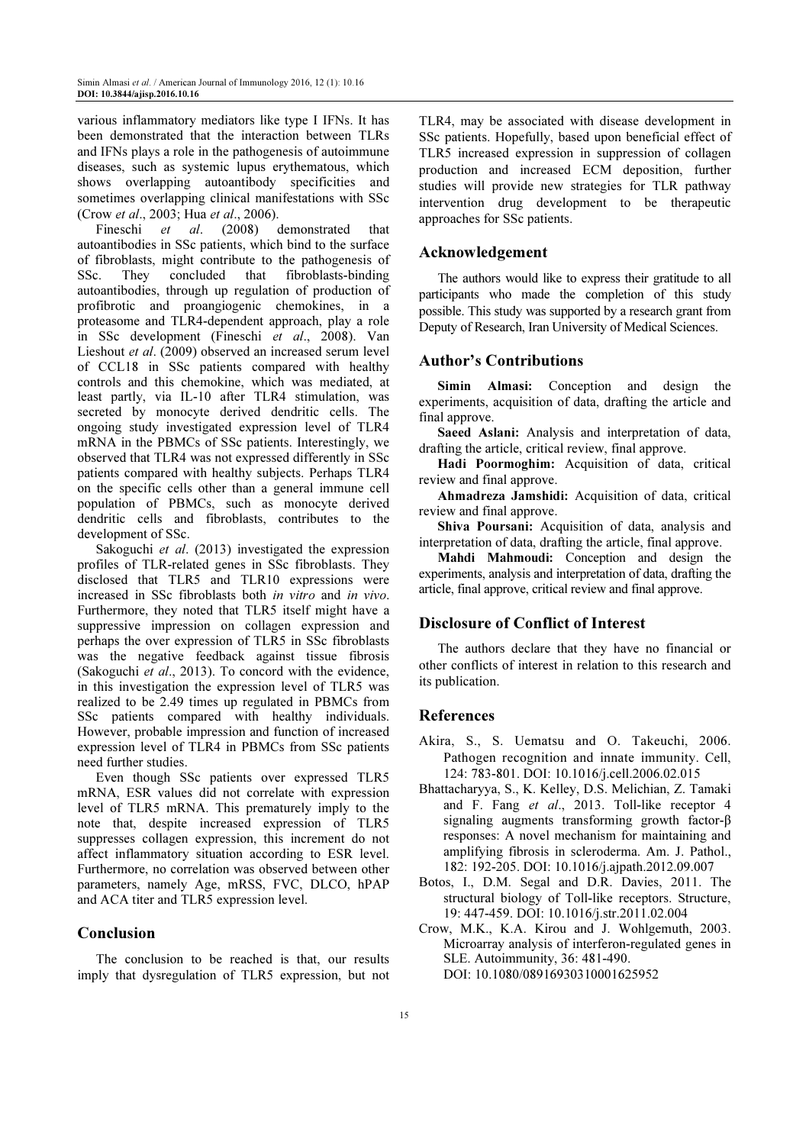various inflammatory mediators like type I IFNs. It has been demonstrated that the interaction between TLRs and IFNs plays a role in the pathogenesis of autoimmune diseases, such as systemic lupus erythematous, which shows overlapping autoantibody specificities and sometimes overlapping clinical manifestations with SSc (Crow et al., 2003; Hua et al., 2006).

Fineschi et al. (2008) demonstrated that autoantibodies in SSc patients, which bind to the surface of fibroblasts, might contribute to the pathogenesis of SSc. They concluded that fibroblasts-binding SSc. They concluded that fibroblasts-binding autoantibodies, through up regulation of production of profibrotic and proangiogenic chemokines, in a proteasome and TLR4-dependent approach, play a role in SSc development (Fineschi et al., 2008). Van Lieshout et al. (2009) observed an increased serum level of CCL18 in SSc patients compared with healthy controls and this chemokine, which was mediated, at least partly, via IL-10 after TLR4 stimulation, was secreted by monocyte derived dendritic cells. The ongoing study investigated expression level of TLR4 mRNA in the PBMCs of SSc patients. Interestingly, we observed that TLR4 was not expressed differently in SSc patients compared with healthy subjects. Perhaps TLR4 on the specific cells other than a general immune cell population of PBMCs, such as monocyte derived dendritic cells and fibroblasts, contributes to the development of SSc.

Sakoguchi *et al.* (2013) investigated the expression profiles of TLR-related genes in SSc fibroblasts. They disclosed that TLR5 and TLR10 expressions were increased in SSc fibroblasts both in vitro and in vivo. Furthermore, they noted that TLR5 itself might have a suppressive impression on collagen expression and perhaps the over expression of TLR5 in SSc fibroblasts was the negative feedback against tissue fibrosis (Sakoguchi et al., 2013). To concord with the evidence, in this investigation the expression level of TLR5 was realized to be 2.49 times up regulated in PBMCs from SSc patients compared with healthy individuals. However, probable impression and function of increased expression level of TLR4 in PBMCs from SSc patients need further studies.

Even though SSc patients over expressed TLR5 mRNA, ESR values did not correlate with expression level of TLR5 mRNA. This prematurely imply to the note that, despite increased expression of TLR5 suppresses collagen expression, this increment do not affect inflammatory situation according to ESR level. Furthermore, no correlation was observed between other parameters, namely Age, mRSS, FVC, DLCO, hPAP and ACA titer and TLR5 expression level.

# Conclusion

The conclusion to be reached is that, our results imply that dysregulation of TLR5 expression, but not

TLR4, may be associated with disease development in SSc patients. Hopefully, based upon beneficial effect of TLR5 increased expression in suppression of collagen production and increased ECM deposition, further studies will provide new strategies for TLR pathway intervention drug development to be therapeutic approaches for SSc patients.

## Acknowledgement

The authors would like to express their gratitude to all participants who made the completion of this study possible. This study was supported by a research grant from Deputy of Research, Iran University of Medical Sciences.

# Author's Contributions

Simin Almasi: Conception and design the experiments, acquisition of data, drafting the article and final approve.

Saeed Aslani: Analysis and interpretation of data, drafting the article, critical review, final approve.

Hadi Poormoghim: Acquisition of data, critical review and final approve.

Ahmadreza Jamshidi: Acquisition of data, critical review and final approve.

Shiva Poursani: Acquisition of data, analysis and interpretation of data, drafting the article, final approve.

Mahdi Mahmoudi: Conception and design the experiments, analysis and interpretation of data, drafting the article, final approve, critical review and final approve.

## Disclosure of Conflict of Interest

The authors declare that they have no financial or other conflicts of interest in relation to this research and its publication.

## References

- Akira, S., S. Uematsu and O. Takeuchi, 2006. Pathogen recognition and innate immunity. Cell, 124: 783-801. DOI: 10.1016/j.cell.2006.02.015
- Bhattacharyya, S., K. Kelley, D.S. Melichian, Z. Tamaki and F. Fang et al., 2013. Toll-like receptor 4 signaling augments transforming growth factor-β responses: A novel mechanism for maintaining and amplifying fibrosis in scleroderma. Am. J. Pathol., 182: 192-205. DOI: 10.1016/j.ajpath.2012.09.007
- Botos, I., D.M. Segal and D.R. Davies, 2011. The structural biology of Toll-like receptors. Structure, 19: 447-459. DOI: 10.1016/j.str.2011.02.004
- Crow, M.K., K.A. Kirou and J. Wohlgemuth, 2003. Microarray analysis of interferon-regulated genes in SLE. Autoimmunity, 36: 481-490. DOI: 10.1080/08916930310001625952